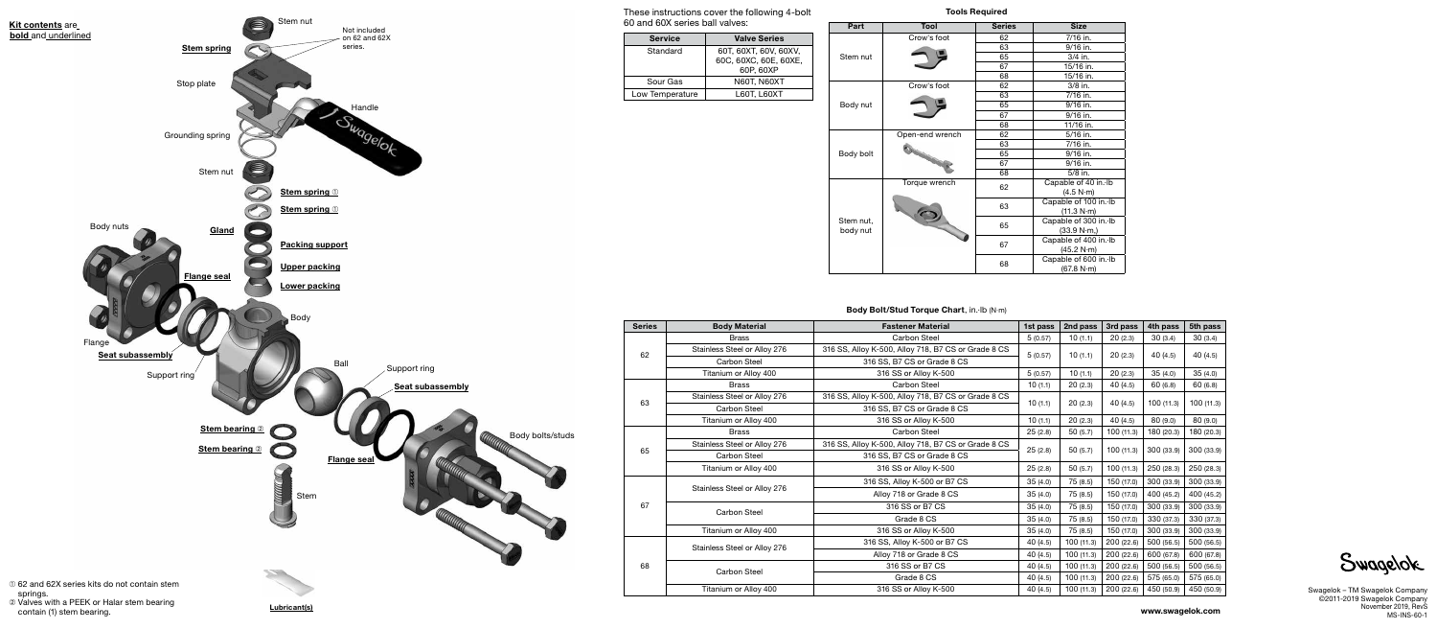www.swagelok.com

| <b>Series</b> | <b>Body Material</b>         | <b>Fastener Material</b>                            | 1st pass | 2nd pass  | 3rd pass   | 4th pass   | 5th pass   |
|---------------|------------------------------|-----------------------------------------------------|----------|-----------|------------|------------|------------|
| 62            | <b>Brass</b>                 | <b>Carbon Steel</b>                                 | 5(0.57)  | 10(1.1)   | 20(2.3)    | 30(3.4)    | 30(3.4)    |
|               | Stainless Steel or Alloy 276 | 316 SS, Alloy K-500, Alloy 718, B7 CS or Grade 8 CS |          | 10(1.1)   | 20(2.3)    | 40 (4.5)   | 40(4.5)    |
|               | Carbon Steel                 | 316 SS, B7 CS or Grade 8 CS                         | 5(0.57)  |           |            |            |            |
|               | Titanium or Alloy 400        | 316 SS or Alloy K-500                               | 5(0.57)  | 10(1.1)   | 20(2.3)    | 35(4.0)    | 35(4.0)    |
| 63            | <b>Brass</b>                 | Carbon Steel                                        | 10(1.1)  | 20(2.3)   | 40 (4.5)   | 60(6.8)    | 60(6.8)    |
|               | Stainless Steel or Alloy 276 | 316 SS, Alloy K-500, Alloy 718, B7 CS or Grade 8 CS | 10(1.1)  | 20(2.3)   | 40(4.5)    | 100 (11.3) | 100(11.3)  |
|               | <b>Carbon Steel</b>          | 316 SS, B7 CS or Grade 8 CS                         |          |           |            |            |            |
|               | Titanium or Alloy 400        | 316 SS or Alloy K-500                               | 10(1.1)  | 20(2.3)   | 40 (4.5)   | 80 (9.0)   | 80 (9.0)   |
| 65            | <b>Brass</b>                 | <b>Carbon Steel</b>                                 | 25(2.8)  | 50(5.7)   | 100(11.3)  | 180 (20.3) | 180 (20.3) |
|               | Stainless Steel or Alloy 276 | 316 SS, Alloy K-500, Alloy 718, B7 CS or Grade 8 CS |          | 50(5.7)   | 100(11.3)  | 300 (33.9) | 300 (33.9) |
|               | Carbon Steel                 | 316 SS, B7 CS or Grade 8 CS                         | 25(2.8)  |           |            |            |            |
|               | Titanium or Alloy 400        | 316 SS or Alloy K-500                               | 25(2.8)  | 50(5.7)   | 100(11.3)  | 250 (28.3) | 250 (28.3) |
| 67            | Stainless Steel or Alloy 276 | 316 SS, Alloy K-500 or B7 CS                        | 35(4.0)  | 75(8.5)   | 150 (17.0) | 300 (33.9) | 300 (33.9) |
|               |                              | Alloy 718 or Grade 8 CS                             | 35(4.0)  | 75(8.5)   | 150 (17.0) | 400 (45.2) | 400 (45.2) |
|               | <b>Carbon Steel</b>          | 316 SS or B7 CS                                     | 35(4.0)  | 75(8.5)   | 150 (17.0) | 300 (33.9) | 300 (33.9) |
|               |                              | Grade 8 CS                                          | 35(4.0)  | 75(8.5)   | 150 (17.0) | 330 (37.3) | 330 (37.3) |
|               | Titanium or Alloy 400        | 316 SS or Alloy K-500                               | 35(4.0)  | 75 (8.5)  | 150 (17.0) | 300 (33.9) | 300 (33.9) |
| 68            | Stainless Steel or Alloy 276 | 316 SS, Alloy K-500 or B7 CS                        | 40(4.5)  | 100(11.3) | 200 (22.6) | 500 (56.5) | 500 (56.5) |
|               |                              | Alloy 718 or Grade 8 CS                             | 40(4.5)  | 100(11.3) | 200 (22.6) | 600 (67.8) | 600 (67.8) |
|               | <b>Carbon Steel</b>          | 316 SS or B7 CS                                     | 40 (4.5) | 100(11.3) | 200 (22.6) | 500 (56.5) | 500 (56.5) |
|               |                              | Grade 8 CS                                          | 40(4.5)  | 100(11.3) | 200 (22.6) | 575 (65.0) | 575 (65.0) |
|               | Titanium or Alloy 400        | 316 SS or Alloy K-500                               | 40 (4.5) | 100(11.3) | 200 (22.6) | 450 (50.9) | 450 (50.9) |

## Body Bolt/Stud Torque Chart, in.·lb (N·m)

Swagelok – TM Swagelok Company ©2011-2019 Swagelok Company November 2019, RevS MS-INS-60-1

Lubricant(s)

springs. ➁ Valves with a PEEK or Halar stem bearing contain (1) stem bearing.





| Part    | Tool            | <b>Series</b> | <b>Size</b>           |  |  |  |
|---------|-----------------|---------------|-----------------------|--|--|--|
|         | Crow's foot     | 62            | 7/16 in.              |  |  |  |
|         |                 | 63            | 9/16 in.              |  |  |  |
| em nut  |                 | 65            | 3/4 in.               |  |  |  |
|         |                 | 67            | 15/16 in.             |  |  |  |
|         |                 | 68            | 15/16 in.             |  |  |  |
|         | Crow's foot     | 62            | 3/8 in.               |  |  |  |
|         |                 | 63            | 7/16 in.              |  |  |  |
| dy nut  |                 | 65            | 9/16 in.              |  |  |  |
|         |                 | 67            | 9/16 in.              |  |  |  |
|         |                 | 68            | 11/16 in.             |  |  |  |
|         | Open-end wrench | 62            | $5/16$ in.            |  |  |  |
|         |                 | 63            | 7/16 in.              |  |  |  |
| dy bolt |                 | 65            | 9/16 in.              |  |  |  |
|         |                 | 67            | 9/16 in.              |  |  |  |
|         |                 | 68            | $5/8$ in.             |  |  |  |
|         | Torque wrench   | 62            | Capable of 40 in. Ib  |  |  |  |
|         |                 |               | (4.5 N·m)             |  |  |  |
|         |                 | 63            | Capable of 100 in. Ib |  |  |  |
|         |                 |               | (11.3 N·m)            |  |  |  |
| em nut, |                 | 65            | Capable of 300 in. Ib |  |  |  |
| dy nut  |                 |               | (33.9 N·m)            |  |  |  |
|         |                 | 67            | Capable of 400 in. Ib |  |  |  |
|         |                 |               | (45.2 N·m)            |  |  |  |
|         |                 | 68            | Capable of 600 in. Ib |  |  |  |
|         |                 |               | (67.8 N·m)            |  |  |  |



### Tools Required